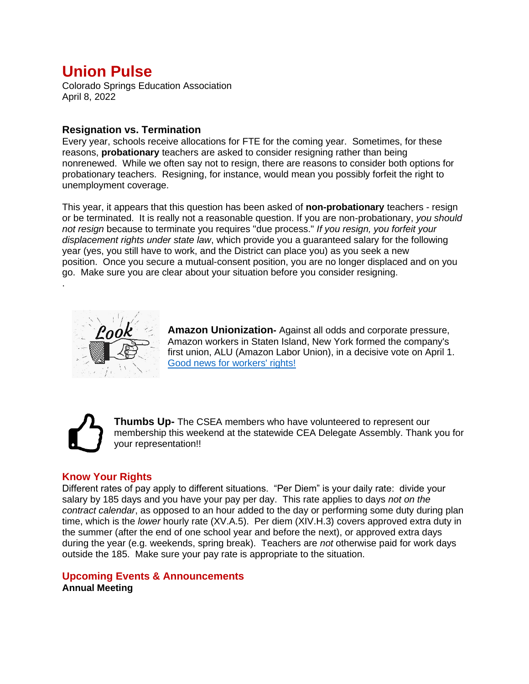# **Union Pulse**

Colorado Springs Education Association April 8, 2022

## **Resignation vs. Termination**

Every year, schools receive allocations for FTE for the coming year. Sometimes, for these reasons, **probationary** teachers are asked to consider resigning rather than being nonrenewed. While we often say not to resign, there are reasons to consider both options for probationary teachers. Resigning, for instance, would mean you possibly forfeit the right to unemployment coverage.

This year, it appears that this question has been asked of **non-probationary** teachers - resign or be terminated. It is really not a reasonable question. If you are non-probationary, *you should not resign* because to terminate you requires "due process." *If you resign, you forfeit your displacement rights under state law*, which provide you a guaranteed salary for the following year (yes, you still have to work, and the District can place you) as you seek a new position. Once you secure a mutual-consent position, you are no longer displaced and on you go. Make sure you are clear about your situation before you consider resigning.



**Amazon Unionization-** Against all odds and corporate pressure, Amazon workers in Staten Island, New York formed the company's first union, ALU (Amazon Labor Union), in a decisive vote on April 1. [Good news for workers' rights!](https://www.npr.org/2022/04/01/1089318684/amazon-labor-union-staten-island-election-bessemer-alabama-warehouse-workers)



.

**Thumbs Up-** The CSEA members who have volunteered to represent our membership this weekend at the statewide CEA Delegate Assembly. Thank you for your representation!!

# **Know Your Rights**

Different rates of pay apply to different situations. "Per Diem" is your daily rate: divide your salary by 185 days and you have your pay per day. This rate applies to days *not on the contract calendar*, as opposed to an hour added to the day or performing some duty during plan time, which is the *lower* hourly rate (XV.A.5). Per diem (XIV.H.3) covers approved extra duty in the summer (after the end of one school year and before the next), or approved extra days during the year (e.g. weekends, spring break). Teachers are *not* otherwise paid for work days outside the 185. Make sure your pay rate is appropriate to the situation.

#### **Upcoming Events & Announcements Annual Meeting**